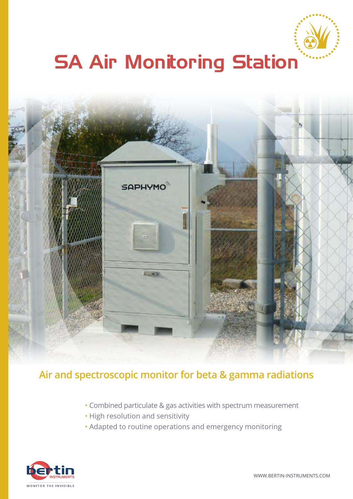

# **SA Air Monitoring Station**



#### **Air and spectroscopic monitor for beta & gamma radiations**

- Combined particulate & gas activities with spectrum measurement
- High resolution and sensitivity
- Adapted to routine operations and emergency monitoring